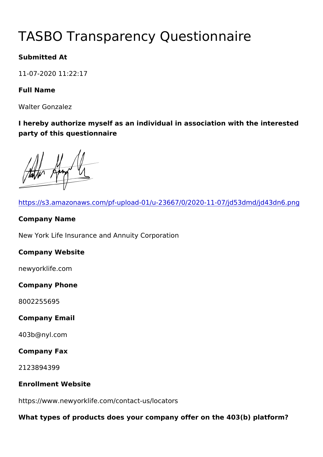# TASBO Transparency Questionna

Submitted At

11-07-2020 11:22:17

Full Name

Walter Gonzalez

I hereby authorize myself as an individual in association with the party of this questionnaire

| https://s3.amazonaws.com/pf-upload-01/u-23667/0/2020-11-07/jd5   |
|------------------------------------------------------------------|
| Company Name                                                     |
| New York Life Insurance and Annuity Corporation                  |
| Company Website                                                  |
| newyorklife.com                                                  |
| Company Phone                                                    |
| 8002255695                                                       |
| Company Email                                                    |
| 403b@nyl.com                                                     |
| Company Fax                                                      |
| 2123894399                                                       |
| Enrollment Website                                               |
| https://www.newyorklife.com/contact-us/locators                  |
| What types of products does your company offer on the 403(b) pla |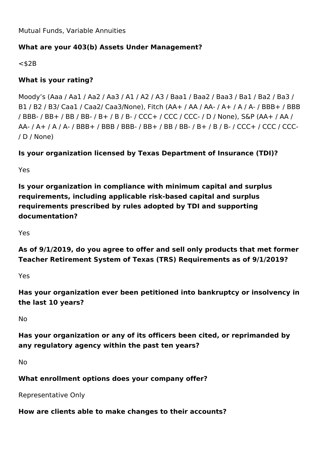Mutual Funds, Variable Annuities

## **What are your 403(b) Assets Under Management?**

 $<$ \$2B

## **What is your rating?**

Moody's (Aaa / Aa1 / Aa2 / Aa3 / A1 / A2 / A3 / Baa1 / Baa2 / Baa3 / Ba1 / Ba2 / Ba3 / B1 / B2 / B3/ Caa1 / Caa2/ Caa3/None), Fitch (AA+ / AA / AA- / A+ / A / A- / BBB+ / BBB / BBB- / BB+ / BB / BB- / B+ / B / B- / CCC+ / CCC / CCC- / D / None), S&P (AA+ / AA / AA- / A+ / A / A- / BBB+ / BBB / BBB- / BB+ / BB / BB- / B+ / B / B- / CCC+ / CCC / CCC- / D / None)

**Is your organization licensed by Texas Department of Insurance (TDI)?**

Yes

**Is your organization in compliance with minimum capital and surplus requirements, including applicable risk-based capital and surplus requirements prescribed by rules adopted by TDI and supporting documentation?**

Yes

**As of 9/1/2019, do you agree to offer and sell only products that met former Teacher Retirement System of Texas (TRS) Requirements as of 9/1/2019?**

Yes

**Has your organization ever been petitioned into bankruptcy or insolvency in the last 10 years?**

No

**Has your organization or any of its officers been cited, or reprimanded by any regulatory agency within the past ten years?**

No

**What enrollment options does your company offer?** 

Representative Only

**How are clients able to make changes to their accounts?**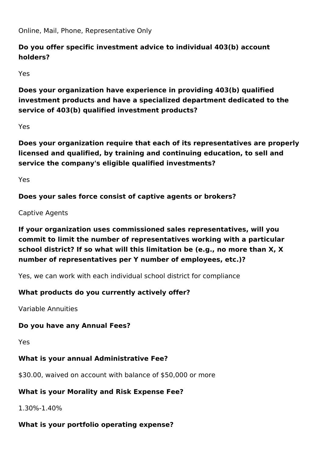Online, Mail, Phone, Representative Only

# **Do you offer specific investment advice to individual 403(b) account holders?**

Yes

**Does your organization have experience in providing 403(b) qualified investment products and have a specialized department dedicated to the service of 403(b) qualified investment products?**

Yes

**Does your organization require that each of its representatives are properly licensed and qualified, by training and continuing education, to sell and service the company's eligible qualified investments?** 

Yes

**Does your sales force consist of captive agents or brokers?**

Captive Agents

**If your organization uses commissioned sales representatives, will you commit to limit the number of representatives working with a particular school district? If so what will this limitation be (e.g., no more than X, X number of representatives per Y number of employees, etc.)?**

Yes, we can work with each individual school district for compliance

# **What products do you currently actively offer?**

Variable Annuities

## **Do you have any Annual Fees?**

Yes

# **What is your annual Administrative Fee?**

\$30.00, waived on account with balance of \$50,000 or more

# **What is your Morality and Risk Expense Fee?**

1.30%-1.40%

# **What is your portfolio operating expense?**